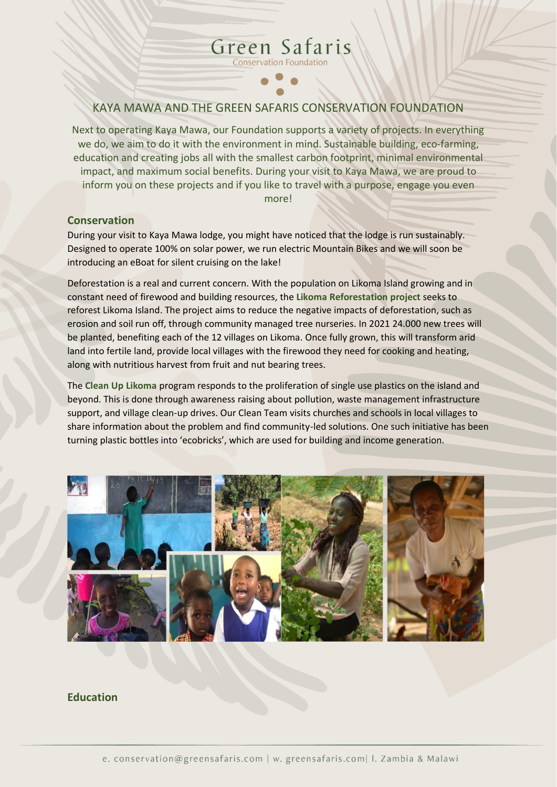# KAYA MAWA AND THE GREEN SAFARIS CONSERVATION FOUNDATION

Green Safaris **Conservation Foundation** 

Next to operating Kaya Mawa, our Foundation supports a variety of projects. In everything we do, we aim to do it with the environment in mind. Sustainable building, eco-farming, education and creating jobs all with the smallest carbon footprint, minimal environmental impact, and maximum social benefits. During your visit to Kaya Mawa, we are proud to inform you on these projects and if you like to travel with a purpose, engage you even more!

#### **Conservation**

During your visit to Kaya Mawa lodge, you might have noticed that the lodge is run sustainably. Designed to operate 100% on solar power, we run electric Mountain Bikes and we will soon be introducing an eBoat for silent cruising on the lake!

Deforestation is a real and current concern. With the population on Likoma Island growing and in constant need of firewood and building resources, the **Likoma Reforestation project** seeks to reforest Likoma Island. The project aims to reduce the negative impacts of deforestation, such as erosion and soil run off, through community managed tree nurseries. In 2021 24.000 new trees will be planted, benefiting each of the 12 villages on Likoma. Once fully grown, this will transform arid land into fertile land, provide local villages with the firewood they need for cooking and heating, along with nutritious harvest from fruit and nut bearing trees.

The **Clean Up Likoma** program responds to the proliferation of single use plastics on the island and beyond. This is done through awareness raising about pollution, waste management infrastructure support, and village clean-up drives. Our Clean Team visits churches and schools in local villages to share information about the problem and find community-led solutions. One such initiative has been turning plastic bottles into 'ecobricks', which are used for building and income generation.



### **Education**